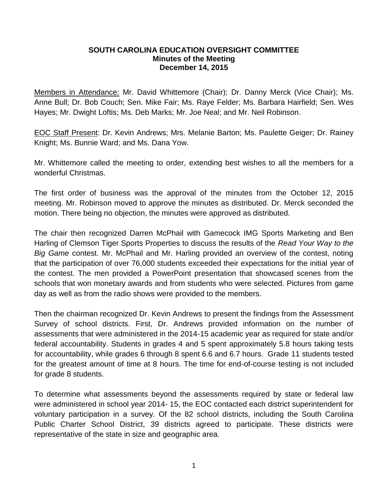## **SOUTH CAROLINA EDUCATION OVERSIGHT COMMITTEE Minutes of the Meeting December 14, 2015**

Members in Attendance: Mr. David Whittemore (Chair); Dr. Danny Merck (Vice Chair); Ms. Anne Bull; Dr. Bob Couch; Sen. Mike Fair; Ms. Raye Felder; Ms. Barbara Hairfield; Sen. Wes Hayes; Mr. Dwight Loftis; Ms. Deb Marks; Mr. Joe Neal; and Mr. Neil Robinson.

EOC Staff Present: Dr. Kevin Andrews; Mrs. Melanie Barton; Ms. Paulette Geiger; Dr. Rainey Knight; Ms. Bunnie Ward; and Ms. Dana Yow.

Mr. Whittemore called the meeting to order, extending best wishes to all the members for a wonderful Christmas.

The first order of business was the approval of the minutes from the October 12, 2015 meeting. Mr. Robinson moved to approve the minutes as distributed. Dr. Merck seconded the motion. There being no objection, the minutes were approved as distributed.

The chair then recognized Darren McPhail with Gamecock IMG Sports Marketing and Ben Harling of Clemson Tiger Sports Properties to discuss the results of the *Read Your Way to the Big Game* contest. Mr. McPhail and Mr. Harling provided an overview of the contest, noting that the participation of over 76,000 students exceeded their expectations for the initial year of the contest. The men provided a PowerPoint presentation that showcased scenes from the schools that won monetary awards and from students who were selected. Pictures from game day as well as from the radio shows were provided to the members.

Then the chairman recognized Dr. Kevin Andrews to present the findings from the Assessment Survey of school districts. First, Dr. Andrews provided information on the number of assessments that were administered in the 2014-15 academic year as required for state and/or federal accountability. Students in grades 4 and 5 spent approximately 5.8 hours taking tests for accountability, while grades 6 through 8 spent 6.6 and 6.7 hours. Grade 11 students tested for the greatest amount of time at 8 hours. The time for end-of-course testing is not included for grade 8 students.

To determine what assessments beyond the assessments required by state or federal law were administered in school year 2014- 15, the EOC contacted each district superintendent for voluntary participation in a survey. Of the 82 school districts, including the South Carolina Public Charter School District, 39 districts agreed to participate. These districts were representative of the state in size and geographic area.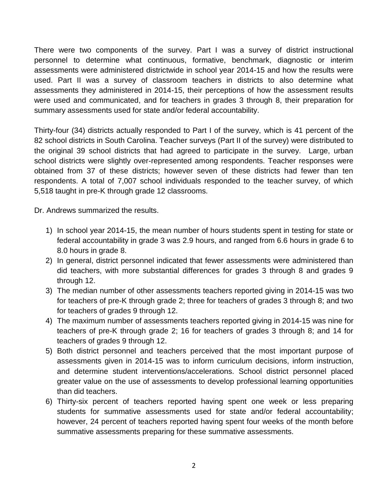There were two components of the survey. Part I was a survey of district instructional personnel to determine what continuous, formative, benchmark, diagnostic or interim assessments were administered districtwide in school year 2014-15 and how the results were used. Part II was a survey of classroom teachers in districts to also determine what assessments they administered in 2014-15, their perceptions of how the assessment results were used and communicated, and for teachers in grades 3 through 8, their preparation for summary assessments used for state and/or federal accountability.

Thirty-four (34) districts actually responded to Part I of the survey, which is 41 percent of the 82 school districts in South Carolina. Teacher surveys (Part II of the survey) were distributed to the original 39 school districts that had agreed to participate in the survey. Large, urban school districts were slightly over-represented among respondents. Teacher responses were obtained from 37 of these districts; however seven of these districts had fewer than ten respondents. A total of 7,007 school individuals responded to the teacher survey, of which 5,518 taught in pre-K through grade 12 classrooms.

Dr. Andrews summarized the results.

- 1) In school year 2014-15, the mean number of hours students spent in testing for state or federal accountability in grade 3 was 2.9 hours, and ranged from 6.6 hours in grade 6 to 8.0 hours in grade 8.
- 2) In general, district personnel indicated that fewer assessments were administered than did teachers, with more substantial differences for grades 3 through 8 and grades 9 through 12.
- 3) The median number of other assessments teachers reported giving in 2014-15 was two for teachers of pre-K through grade 2; three for teachers of grades 3 through 8; and two for teachers of grades 9 through 12.
- 4) The maximum number of assessments teachers reported giving in 2014-15 was nine for teachers of pre-K through grade 2; 16 for teachers of grades 3 through 8; and 14 for teachers of grades 9 through 12.
- 5) Both district personnel and teachers perceived that the most important purpose of assessments given in 2014-15 was to inform curriculum decisions, inform instruction, and determine student interventions/accelerations. School district personnel placed greater value on the use of assessments to develop professional learning opportunities than did teachers.
- 6) Thirty-six percent of teachers reported having spent one week or less preparing students for summative assessments used for state and/or federal accountability; however, 24 percent of teachers reported having spent four weeks of the month before summative assessments preparing for these summative assessments.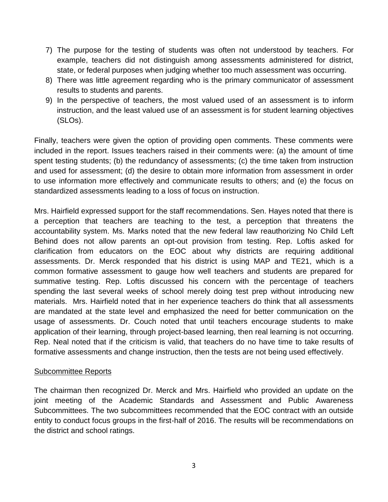- 7) The purpose for the testing of students was often not understood by teachers. For example, teachers did not distinguish among assessments administered for district, state, or federal purposes when judging whether too much assessment was occurring.
- 8) There was little agreement regarding who is the primary communicator of assessment results to students and parents.
- 9) In the perspective of teachers, the most valued used of an assessment is to inform instruction, and the least valued use of an assessment is for student learning objectives (SLOs).

Finally, teachers were given the option of providing open comments. These comments were included in the report. Issues teachers raised in their comments were: (a) the amount of time spent testing students; (b) the redundancy of assessments; (c) the time taken from instruction and used for assessment; (d) the desire to obtain more information from assessment in order to use information more effectively and communicate results to others; and (e) the focus on standardized assessments leading to a loss of focus on instruction.

Mrs. Hairfield expressed support for the staff recommendations. Sen. Hayes noted that there is a perception that teachers are teaching to the test, a perception that threatens the accountability system. Ms. Marks noted that the new federal law reauthorizing No Child Left Behind does not allow parents an opt-out provision from testing. Rep. Loftis asked for clarification from educators on the EOC about why districts are requiring additional assessments. Dr. Merck responded that his district is using MAP and TE21, which is a common formative assessment to gauge how well teachers and students are prepared for summative testing. Rep. Loftis discussed his concern with the percentage of teachers spending the last several weeks of school merely doing test prep without introducing new materials. Mrs. Hairfield noted that in her experience teachers do think that all assessments are mandated at the state level and emphasized the need for better communication on the usage of assessments. Dr. Couch noted that until teachers encourage students to make application of their learning, through project-based learning, then real learning is not occurring. Rep. Neal noted that if the criticism is valid, that teachers do no have time to take results of formative assessments and change instruction, then the tests are not being used effectively.

## Subcommittee Reports

The chairman then recognized Dr. Merck and Mrs. Hairfield who provided an update on the joint meeting of the Academic Standards and Assessment and Public Awareness Subcommittees. The two subcommittees recommended that the EOC contract with an outside entity to conduct focus groups in the first-half of 2016. The results will be recommendations on the district and school ratings.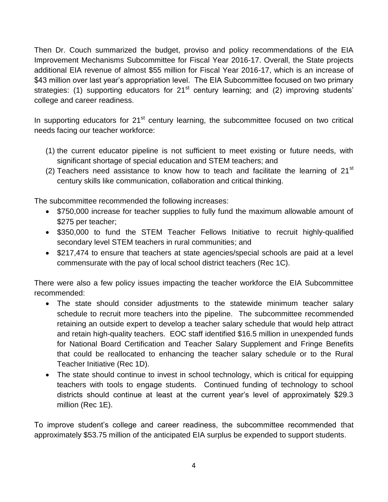Then Dr. Couch summarized the budget, proviso and policy recommendations of the EIA Improvement Mechanisms Subcommittee for Fiscal Year 2016-17. Overall, the State projects additional EIA revenue of almost \$55 million for Fiscal Year 2016-17, which is an increase of \$43 million over last year's appropriation level. The EIA Subcommittee focused on two primary strategies: (1) supporting educators for  $21<sup>st</sup>$  century learning; and (2) improving students' college and career readiness.

In supporting educators for  $21<sup>st</sup>$  century learning, the subcommittee focused on two critical needs facing our teacher workforce:

- (1) the current educator pipeline is not sufficient to meet existing or future needs, with significant shortage of special education and STEM teachers; and
- (2) Teachers need assistance to know how to teach and facilitate the learning of  $21^{st}$ century skills like communication, collaboration and critical thinking.

The subcommittee recommended the following increases:

- \$750,000 increase for teacher supplies to fully fund the maximum allowable amount of \$275 per teacher;
- \$350,000 to fund the STEM Teacher Fellows Initiative to recruit highly-qualified secondary level STEM teachers in rural communities; and
- \$217,474 to ensure that teachers at state agencies/special schools are paid at a level commensurate with the pay of local school district teachers (Rec 1C).

There were also a few policy issues impacting the teacher workforce the EIA Subcommittee recommended:

- The state should consider adjustments to the statewide minimum teacher salary schedule to recruit more teachers into the pipeline. The subcommittee recommended retaining an outside expert to develop a teacher salary schedule that would help attract and retain high-quality teachers. EOC staff identified \$16.5 million in unexpended funds for National Board Certification and Teacher Salary Supplement and Fringe Benefits that could be reallocated to enhancing the teacher salary schedule or to the Rural Teacher Initiative (Rec 1D).
- The state should continue to invest in school technology, which is critical for equipping teachers with tools to engage students. Continued funding of technology to school districts should continue at least at the current year's level of approximately \$29.3 million (Rec 1E).

To improve student's college and career readiness, the subcommittee recommended that approximately \$53.75 million of the anticipated EIA surplus be expended to support students.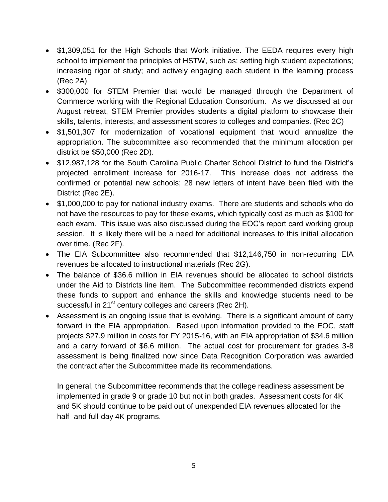- \$1,309,051 for the High Schools that Work initiative. The EEDA requires every high school to implement the principles of HSTW, such as: setting high student expectations; increasing rigor of study; and actively engaging each student in the learning process (Rec 2A)
- \$300,000 for STEM Premier that would be managed through the Department of Commerce working with the Regional Education Consortium. As we discussed at our August retreat, STEM Premier provides students a digital platform to showcase their skills, talents, interests, and assessment scores to colleges and companies. (Rec 2C)
- \$1,501,307 for modernization of vocational equipment that would annualize the appropriation. The subcommittee also recommended that the minimum allocation per district be \$50,000 (Rec 2D).
- \$12,987,128 for the South Carolina Public Charter School District to fund the District's projected enrollment increase for 2016-17. This increase does not address the confirmed or potential new schools; 28 new letters of intent have been filed with the District (Rec 2E).
- \$1,000,000 to pay for national industry exams. There are students and schools who do not have the resources to pay for these exams, which typically cost as much as \$100 for each exam. This issue was also discussed during the EOC's report card working group session. It is likely there will be a need for additional increases to this initial allocation over time. (Rec 2F).
- The EIA Subcommittee also recommended that \$12,146,750 in non-recurring EIA revenues be allocated to instructional materials (Rec 2G).
- The balance of \$36.6 million in EIA revenues should be allocated to school districts under the Aid to Districts line item. The Subcommittee recommended districts expend these funds to support and enhance the skills and knowledge students need to be successful in 21<sup>st</sup> century colleges and careers (Rec 2H).
- Assessment is an ongoing issue that is evolving. There is a significant amount of carry forward in the EIA appropriation. Based upon information provided to the EOC, staff projects \$27.9 million in costs for FY 2015-16, with an EIA appropriation of \$34.6 million and a carry forward of \$6.6 million. The actual cost for procurement for grades 3-8 assessment is being finalized now since Data Recognition Corporation was awarded the contract after the Subcommittee made its recommendations.

In general, the Subcommittee recommends that the college readiness assessment be implemented in grade 9 or grade 10 but not in both grades. Assessment costs for 4K and 5K should continue to be paid out of unexpended EIA revenues allocated for the half- and full-day 4K programs.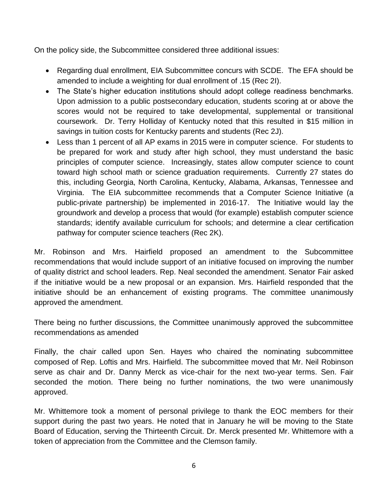On the policy side, the Subcommittee considered three additional issues:

- Regarding dual enrollment, EIA Subcommittee concurs with SCDE. The EFA should be amended to include a weighting for dual enrollment of .15 (Rec 2I).
- The State's higher education institutions should adopt college readiness benchmarks. Upon admission to a public postsecondary education, students scoring at or above the scores would not be required to take developmental, supplemental or transitional coursework. Dr. Terry Holliday of Kentucky noted that this resulted in \$15 million in savings in tuition costs for Kentucky parents and students (Rec 2J).
- Less than 1 percent of all AP exams in 2015 were in computer science. For students to be prepared for work and study after high school, they must understand the basic principles of computer science. Increasingly, states allow computer science to count toward high school math or science graduation requirements. Currently 27 states do this, including Georgia, North Carolina, Kentucky, Alabama, Arkansas, Tennessee and Virginia. The EIA subcommittee recommends that a Computer Science Initiative (a public-private partnership) be implemented in 2016-17. The Initiative would lay the groundwork and develop a process that would (for example) establish computer science standards; identify available curriculum for schools; and determine a clear certification pathway for computer science teachers (Rec 2K).

Mr. Robinson and Mrs. Hairfield proposed an amendment to the Subcommittee recommendations that would include support of an initiative focused on improving the number of quality district and school leaders. Rep. Neal seconded the amendment. Senator Fair asked if the initiative would be a new proposal or an expansion. Mrs. Hairfield responded that the initiative should be an enhancement of existing programs. The committee unanimously approved the amendment.

There being no further discussions, the Committee unanimously approved the subcommittee recommendations as amended

Finally, the chair called upon Sen. Hayes who chaired the nominating subcommittee composed of Rep. Loftis and Mrs. Hairfield. The subcommittee moved that Mr. Neil Robinson serve as chair and Dr. Danny Merck as vice-chair for the next two-year terms. Sen. Fair seconded the motion. There being no further nominations, the two were unanimously approved.

Mr. Whittemore took a moment of personal privilege to thank the EOC members for their support during the past two years. He noted that in January he will be moving to the State Board of Education, serving the Thirteenth Circuit. Dr. Merck presented Mr. Whittemore with a token of appreciation from the Committee and the Clemson family.